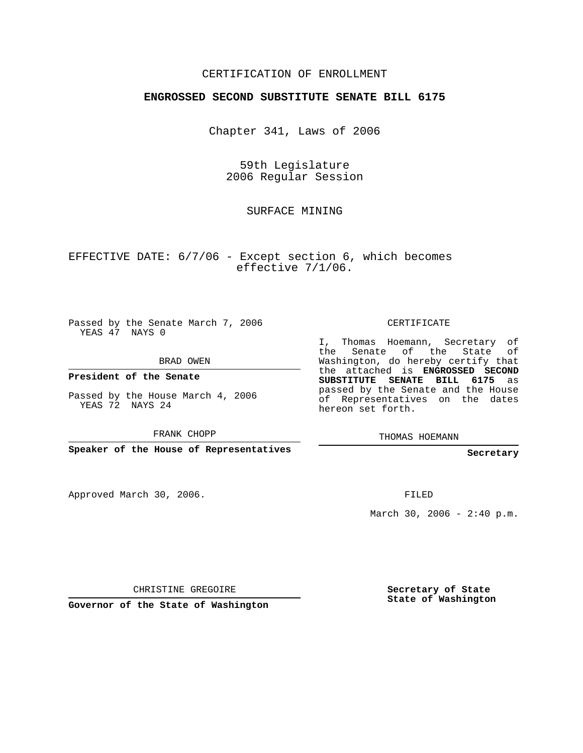## CERTIFICATION OF ENROLLMENT

## **ENGROSSED SECOND SUBSTITUTE SENATE BILL 6175**

Chapter 341, Laws of 2006

59th Legislature 2006 Regular Session

SURFACE MINING

EFFECTIVE DATE: 6/7/06 - Except section 6, which becomes effective 7/1/06.

Passed by the Senate March 7, 2006 YEAS 47 NAYS 0

BRAD OWEN

**President of the Senate**

Passed by the House March 4, 2006 YEAS 72 NAYS 24

FRANK CHOPP

**Speaker of the House of Representatives**

Approved March 30, 2006.

CERTIFICATE

I, Thomas Hoemann, Secretary of the Senate of the State of Washington, do hereby certify that the attached is **ENGROSSED SECOND SUBSTITUTE SENATE BILL 6175** as passed by the Senate and the House of Representatives on the dates hereon set forth.

THOMAS HOEMANN

**Secretary**

FILED

March 30, 2006 -  $2:40 \text{ p.m.}$ 

CHRISTINE GREGOIRE

**Governor of the State of Washington**

**Secretary of State State of Washington**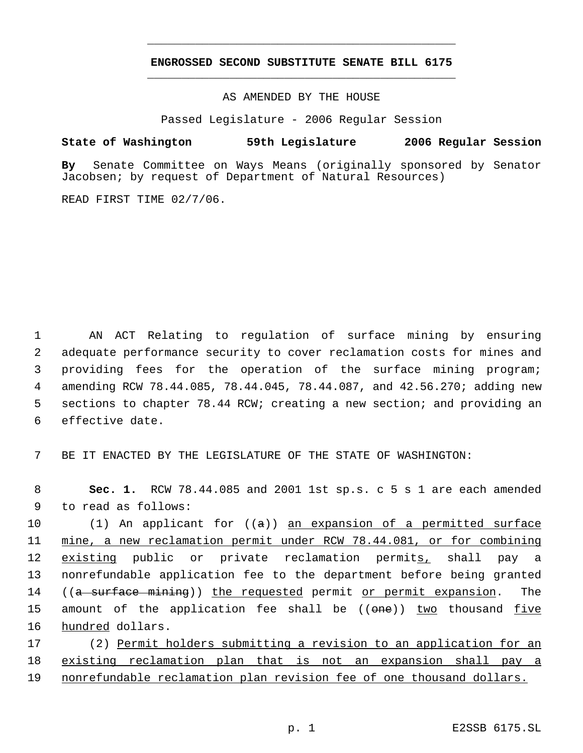## **ENGROSSED SECOND SUBSTITUTE SENATE BILL 6175** \_\_\_\_\_\_\_\_\_\_\_\_\_\_\_\_\_\_\_\_\_\_\_\_\_\_\_\_\_\_\_\_\_\_\_\_\_\_\_\_\_\_\_\_\_

\_\_\_\_\_\_\_\_\_\_\_\_\_\_\_\_\_\_\_\_\_\_\_\_\_\_\_\_\_\_\_\_\_\_\_\_\_\_\_\_\_\_\_\_\_

AS AMENDED BY THE HOUSE

Passed Legislature - 2006 Regular Session

## **State of Washington 59th Legislature 2006 Regular Session**

**By** Senate Committee on Ways Means (originally sponsored by Senator Jacobsen; by request of Department of Natural Resources)

READ FIRST TIME 02/7/06.

 AN ACT Relating to regulation of surface mining by ensuring adequate performance security to cover reclamation costs for mines and providing fees for the operation of the surface mining program; amending RCW 78.44.085, 78.44.045, 78.44.087, and 42.56.270; adding new sections to chapter 78.44 RCW; creating a new section; and providing an effective date.

7 BE IT ENACTED BY THE LEGISLATURE OF THE STATE OF WASHINGTON:

 8 **Sec. 1.** RCW 78.44.085 and 2001 1st sp.s. c 5 s 1 are each amended 9 to read as follows:

10 (1) An applicant for ((a)) an expansion of a permitted surface 11 mine, a new reclamation permit under RCW 78.44.081, or for combining 12 existing public or private reclamation permits, shall pay a 13 nonrefundable application fee to the department before being granted 14 ((a surface mining)) the requested permit or permit expansion. The 15 amount of the application fee shall be ((<del>one</del>)) two thousand five 16 hundred dollars.

17 (2) Permit holders submitting a revision to an application for an 18 existing reclamation plan that is not an expansion shall pay a 19 nonrefundable reclamation plan revision fee of one thousand dollars.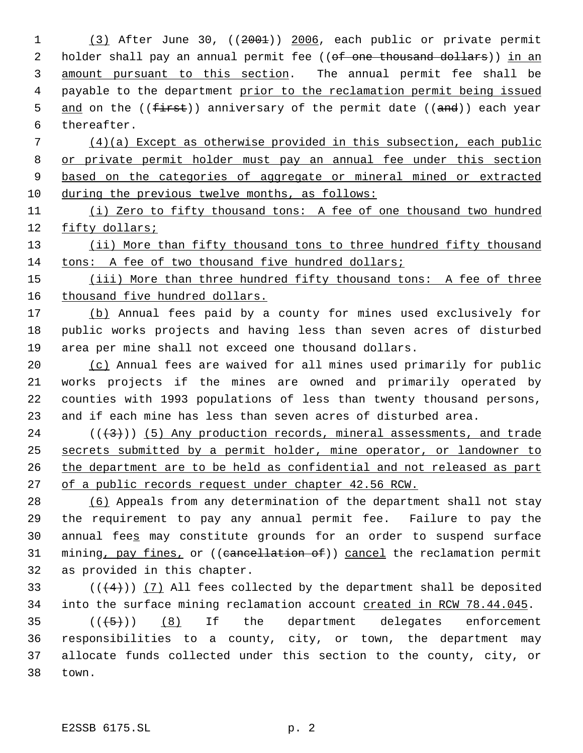(3) After June 30, ((2001)) 2006, each public or private permit 2 holder shall pay an annual permit fee ((of one thousand dollars)) in an amount pursuant to this section. The annual permit fee shall be 4 payable to the department prior to the reclamation permit being issued 5 and on the ((first)) anniversary of the permit date ((and)) each year thereafter. (4)(a) Except as otherwise provided in this subsection, each public 8 or private permit holder must pay an annual fee under this section based on the categories of aggregate or mineral mined or extracted during the previous twelve months, as follows: (i) Zero to fifty thousand tons: A fee of one thousand two hundred fifty dollars; 13 (ii) More than fifty thousand tons to three hundred fifty thousand tons: A fee of two thousand five hundred dollars; 15 (iii) More than three hundred fifty thousand tons: A fee of three 16 thousand five hundred dollars. 17 (b) Annual fees paid by a county for mines used exclusively for public works projects and having less than seven acres of disturbed area per mine shall not exceed one thousand dollars. (c) Annual fees are waived for all mines used primarily for public works projects if the mines are owned and primarily operated by counties with 1993 populations of less than twenty thousand persons, and if each mine has less than seven acres of disturbed area. ( $(\frac{43}{})$ ) (5) Any production records, mineral assessments, and trade secrets submitted by a permit holder, mine operator, or landowner to 26 the department are to be held as confidential and not released as part 27 of a public records request under chapter 42.56 RCW. (6) Appeals from any determination of the department shall not stay the requirement to pay any annual permit fee. Failure to pay the 30 annual fees may constitute grounds for an order to suspend surface 31 mining, pay fines, or ((cancellation of)) cancel the reclamation permit as provided in this chapter.  $((+4))$   $(7)$  All fees collected by the department shall be deposited 34 into the surface mining reclamation account created in RCW 78.44.045.  $((+5))$   $(8)$  If the department delegates enforcement responsibilities to a county, city, or town, the department may allocate funds collected under this section to the county, city, or town.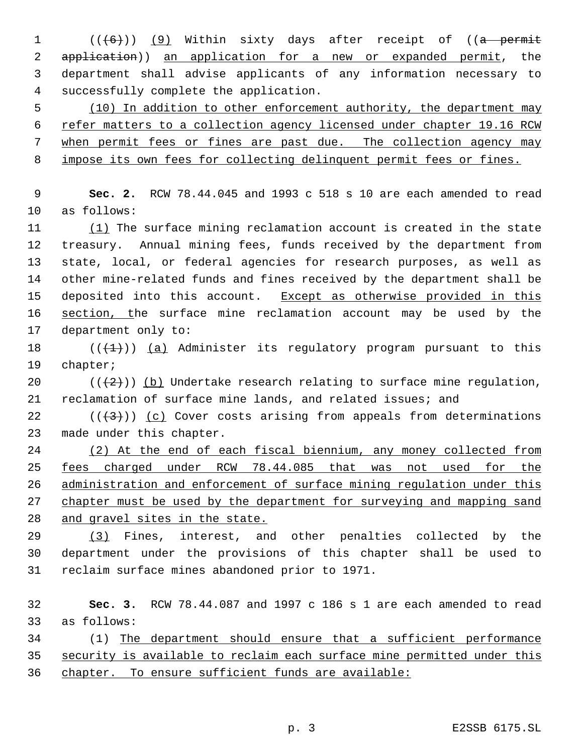$((+6))$  (9) Within sixty days after receipt of ((a permit application)) an application for a new or expanded permit, the department shall advise applicants of any information necessary to successfully complete the application.

5 (10) In addition to other enforcement authority, the department may refer matters to a collection agency licensed under chapter 19.16 RCW 7 when permit fees or fines are past due. The collection agency may impose its own fees for collecting delinquent permit fees or fines.

 **Sec. 2.** RCW 78.44.045 and 1993 c 518 s 10 are each amended to read as follows:

 (1) The surface mining reclamation account is created in the state treasury. Annual mining fees, funds received by the department from state, local, or federal agencies for research purposes, as well as other mine-related funds and fines received by the department shall be 15 deposited into this account. Except as otherwise provided in this 16 section, the surface mine reclamation account may be used by the department only to:

18  $((+1))$  (a) Administer its regulatory program pursuant to this chapter;

20 ( $(\frac{2}{2})$ ) (b) Undertake research relating to surface mine regulation, reclamation of surface mine lands, and related issues; and

22  $((+3))$   $(c)$  Cover costs arising from appeals from determinations made under this chapter.

 (2) At the end of each fiscal biennium, any money collected from fees charged under RCW 78.44.085 that was not used for the administration and enforcement of surface mining regulation under this 27 chapter must be used by the department for surveying and mapping sand and gravel sites in the state.

 (3) Fines, interest, and other penalties collected by the department under the provisions of this chapter shall be used to reclaim surface mines abandoned prior to 1971.

 **Sec. 3.** RCW 78.44.087 and 1997 c 186 s 1 are each amended to read as follows:

 (1) The department should ensure that a sufficient performance security is available to reclaim each surface mine permitted under this chapter. To ensure sufficient funds are available: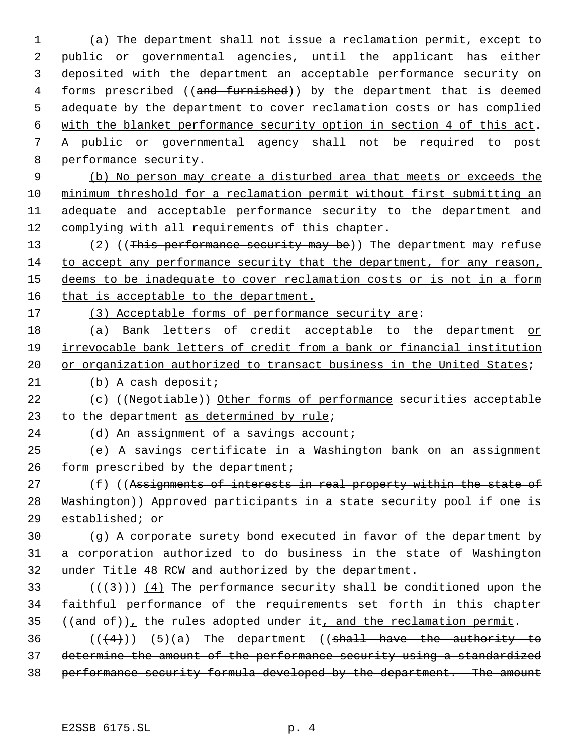1 (a) The department shall not issue a reclamation permit, except to 2 public or governmental agencies, until the applicant has either deposited with the department an acceptable performance security on 4 forms prescribed ((and furnished)) by the department that is deemed adequate by the department to cover reclamation costs or has complied with the blanket performance security option in section 4 of this act. A public or governmental agency shall not be required to post performance security.

 (b) No person may create a disturbed area that meets or exceeds the minimum threshold for a reclamation permit without first submitting an adequate and acceptable performance security to the department and complying with all requirements of this chapter.

13 (2) ((This performance security may be)) The department may refuse to accept any performance security that the department, for any reason, deems to be inadequate to cover reclamation costs or is not in a form 16 that is acceptable to the department.

17 (3) Acceptable forms of performance security are:

 (a) Bank letters of credit acceptable to the department or irrevocable bank letters of credit from a bank or financial institution 20 or organization authorized to transact business in the United States;

(b) A cash deposit;

22 (c) ((Negotiable)) Other forms of performance securities acceptable 23 to the department as determined by rule;

24 (d) An assignment of a savings account;

 (e) A savings certificate in a Washington bank on an assignment form prescribed by the department;

27 (f) ((Assignments of interests in real property within the state of 28 Washington)) Approved participants in a state security pool if one is established; or

 (g) A corporate surety bond executed in favor of the department by a corporation authorized to do business in the state of Washington under Title 48 RCW and authorized by the department.

33 ( $(\overline{+3})$ ) (4) The performance security shall be conditioned upon the faithful performance of the requirements set forth in this chapter ((and of)), the rules adopted under it, and the reclamation permit.

36  $((+4))$   $(5)(a)$  The department ((shall have the authority to determine the amount of the performance security using a standardized performance security formula developed by the department. The amount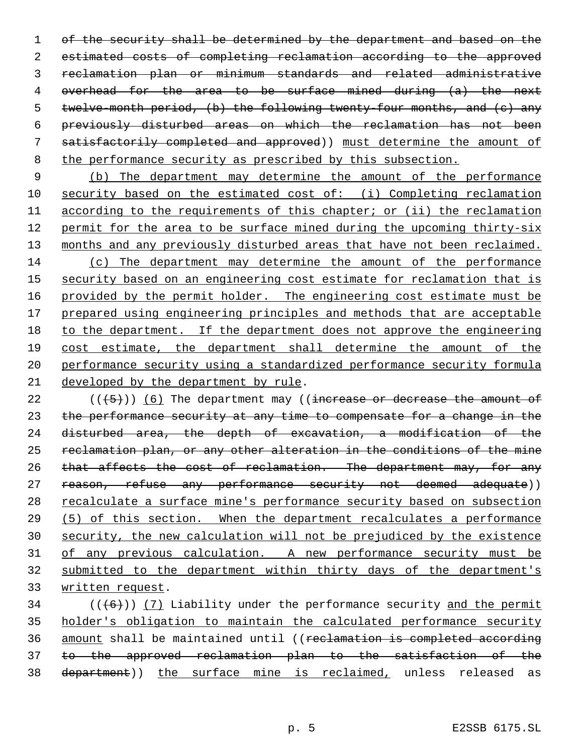1 of the security shall be determined by the department and based on the estimated costs of completing reclamation according to the approved reclamation plan or minimum standards and related administrative overhead for the area to be surface mined during (a) the next twelve-month period, (b) the following twenty-four months, and (c) any previously disturbed areas on which the reclamation has not been satisfactorily completed and approved)) must determine the amount of the performance security as prescribed by this subsection.

 (b) The department may determine the amount of the performance security based on the estimated cost of: (i) Completing reclamation according to the requirements of this chapter; or (ii) the reclamation permit for the area to be surface mined during the upcoming thirty-six 13 months and any previously disturbed areas that have not been reclaimed. (c) The department may determine the amount of the performance 15 security based on an engineering cost estimate for reclamation that is 16 provided by the permit holder. The engineering cost estimate must be 17 prepared using engineering principles and methods that are acceptable to the department. If the department does not approve the engineering cost estimate, the department shall determine the amount of the performance security using a standardized performance security formula developed by the department by rule.

22  $((\langle 5 \rangle)(6)$  The department may ((increase or decrease the amount of 23 the performance security at any time to compensate for a change in the disturbed area, the depth of excavation, a modification of the 25 reclamation plan, or any other alteration in the conditions of the mine 26 that affects the cost of reclamation. The department may, for any 27 reason, refuse any performance security not deemed adequate)) 28 recalculate a surface mine's performance security based on subsection (5) of this section. When the department recalculates a performance security, the new calculation will not be prejudiced by the existence of any previous calculation. A new performance security must be submitted to the department within thirty days of the department's written request.

 (( $(6)$ )) (7) Liability under the performance security and the permit holder's obligation to maintain the calculated performance security amount shall be maintained until ((reclamation is completed according to the approved reclamation plan to the satisfaction of the 38 department)) the surface mine is reclaimed, unless released as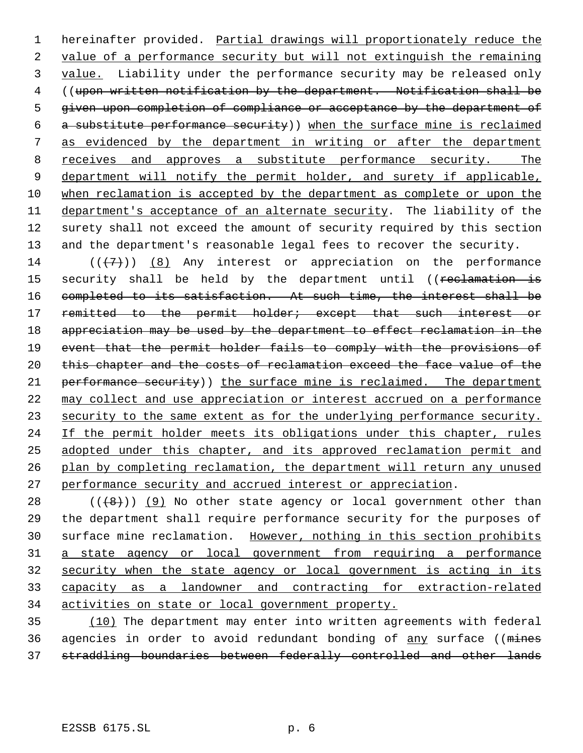1 hereinafter provided. Partial drawings will proportionately reduce the value of a performance security but will not extinguish the remaining value. Liability under the performance security may be released only ((upon written notification by the department. Notification shall be given upon completion of compliance or acceptance by the department of a substitute performance security)) when the surface mine is reclaimed as evidenced by the department in writing or after the department 8 receives and approves a substitute performance security. The 9 department will notify the permit holder, and surety if applicable, when reclamation is accepted by the department as complete or upon the department's acceptance of an alternate security. The liability of the surety shall not exceed the amount of security required by this section and the department's reasonable legal fees to recover the security.

14  $((+7)^{n})$  (8) Any interest or appreciation on the performance 15 security shall be held by the department until ((reclamation is completed to its satisfaction. At such time, the interest shall be 17 remitted to the permit holder; except that such interest or 18 appreciation may be used by the department to effect reclamation in the event that the permit holder fails to comply with the provisions of 20 this chapter and the costs of reclamation exceed the face value of the 21 performance security)) the surface mine is reclaimed. The department may collect and use appreciation or interest accrued on a performance 23 security to the same extent as for the underlying performance security. 24 If the permit holder meets its obligations under this chapter, rules adopted under this chapter, and its approved reclamation permit and plan by completing reclamation, the department will return any unused performance security and accrued interest or appreciation.

 (( $\left(\frac{48}{1}\right)$ ) (9) No other state agency or local government other than the department shall require performance security for the purposes of 30 surface mine reclamation. However, nothing in this section prohibits a state agency or local government from requiring a performance security when the state agency or local government is acting in its capacity as a landowner and contracting for extraction-related activities on state or local government property.

 (10) The department may enter into written agreements with federal 36 agencies in order to avoid redundant bonding of any surface ((mines straddling boundaries between federally controlled and other lands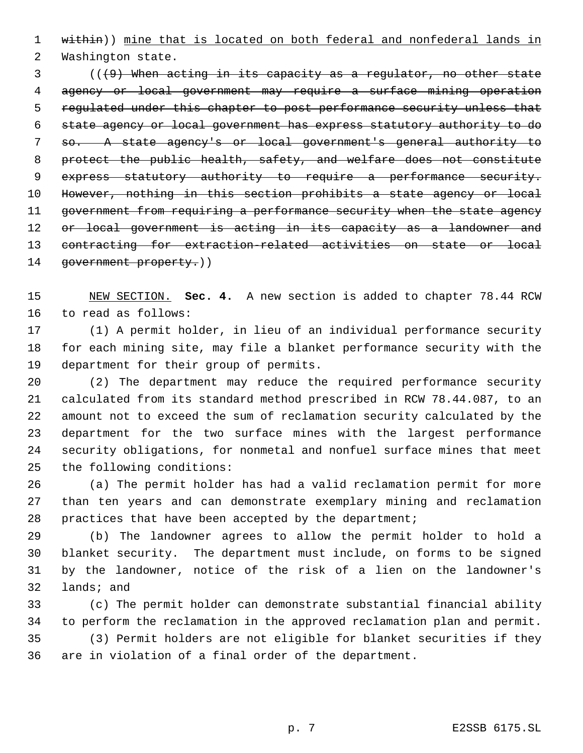1 within)) mine that is located on both federal and nonfederal lands in

Washington state.

 (((9) When acting in its capacity as a regulator, no other state agency or local government may require a surface mining operation regulated under this chapter to post performance security unless that state agency or local government has express statutory authority to do so. A state agency's or local government's general authority to protect the public health, safety, and welfare does not constitute 9 express statutory authority to require a performance security. However, nothing in this section prohibits a state agency or local 11 government from requiring a performance security when the state agency 12 or local government is acting in its capacity as a landowner and contracting for extraction-related activities on state or local 14 government property.))

 NEW SECTION. **Sec. 4.** A new section is added to chapter 78.44 RCW to read as follows:

 (1) A permit holder, in lieu of an individual performance security for each mining site, may file a blanket performance security with the department for their group of permits.

 (2) The department may reduce the required performance security calculated from its standard method prescribed in RCW 78.44.087, to an amount not to exceed the sum of reclamation security calculated by the department for the two surface mines with the largest performance security obligations, for nonmetal and nonfuel surface mines that meet the following conditions:

 (a) The permit holder has had a valid reclamation permit for more than ten years and can demonstrate exemplary mining and reclamation practices that have been accepted by the department;

 (b) The landowner agrees to allow the permit holder to hold a blanket security. The department must include, on forms to be signed by the landowner, notice of the risk of a lien on the landowner's lands; and

 (c) The permit holder can demonstrate substantial financial ability to perform the reclamation in the approved reclamation plan and permit. (3) Permit holders are not eligible for blanket securities if they are in violation of a final order of the department.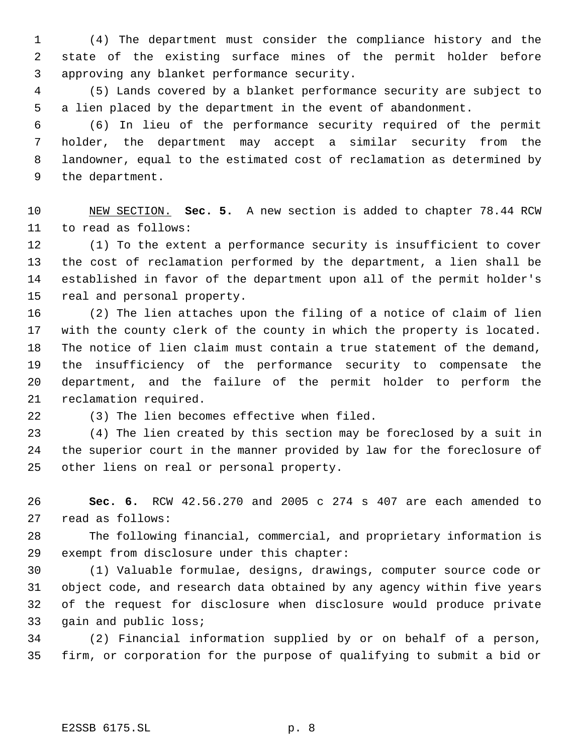(4) The department must consider the compliance history and the state of the existing surface mines of the permit holder before approving any blanket performance security.

 (5) Lands covered by a blanket performance security are subject to a lien placed by the department in the event of abandonment.

 (6) In lieu of the performance security required of the permit holder, the department may accept a similar security from the landowner, equal to the estimated cost of reclamation as determined by the department.

 NEW SECTION. **Sec. 5.** A new section is added to chapter 78.44 RCW to read as follows:

 (1) To the extent a performance security is insufficient to cover the cost of reclamation performed by the department, a lien shall be established in favor of the department upon all of the permit holder's real and personal property.

 (2) The lien attaches upon the filing of a notice of claim of lien with the county clerk of the county in which the property is located. The notice of lien claim must contain a true statement of the demand, the insufficiency of the performance security to compensate the department, and the failure of the permit holder to perform the reclamation required.

(3) The lien becomes effective when filed.

 (4) The lien created by this section may be foreclosed by a suit in the superior court in the manner provided by law for the foreclosure of other liens on real or personal property.

 **Sec. 6.** RCW 42.56.270 and 2005 c 274 s 407 are each amended to read as follows:

 The following financial, commercial, and proprietary information is exempt from disclosure under this chapter:

 (1) Valuable formulae, designs, drawings, computer source code or object code, and research data obtained by any agency within five years of the request for disclosure when disclosure would produce private gain and public loss;

 (2) Financial information supplied by or on behalf of a person, firm, or corporation for the purpose of qualifying to submit a bid or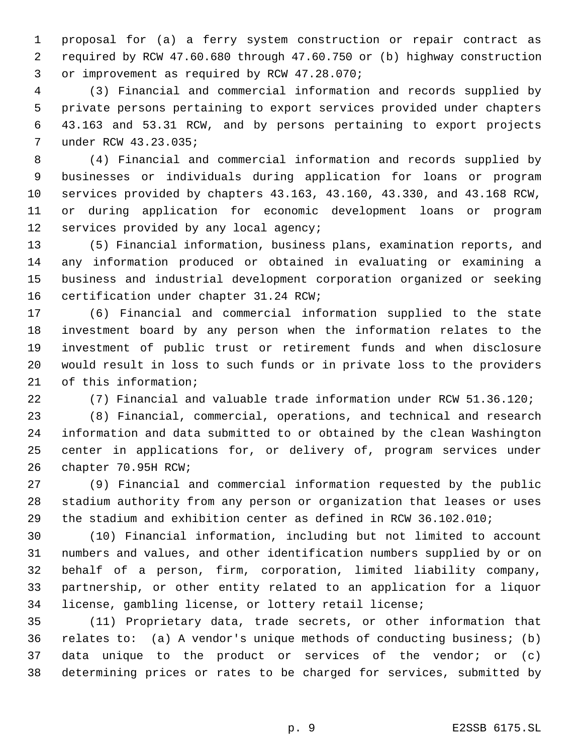proposal for (a) a ferry system construction or repair contract as required by RCW 47.60.680 through 47.60.750 or (b) highway construction or improvement as required by RCW 47.28.070;

 (3) Financial and commercial information and records supplied by private persons pertaining to export services provided under chapters 43.163 and 53.31 RCW, and by persons pertaining to export projects under RCW 43.23.035;

 (4) Financial and commercial information and records supplied by businesses or individuals during application for loans or program services provided by chapters 43.163, 43.160, 43.330, and 43.168 RCW, or during application for economic development loans or program services provided by any local agency;

 (5) Financial information, business plans, examination reports, and any information produced or obtained in evaluating or examining a business and industrial development corporation organized or seeking certification under chapter 31.24 RCW;

 (6) Financial and commercial information supplied to the state investment board by any person when the information relates to the investment of public trust or retirement funds and when disclosure would result in loss to such funds or in private loss to the providers of this information;

(7) Financial and valuable trade information under RCW 51.36.120;

 (8) Financial, commercial, operations, and technical and research information and data submitted to or obtained by the clean Washington center in applications for, or delivery of, program services under chapter 70.95H RCW;

 (9) Financial and commercial information requested by the public stadium authority from any person or organization that leases or uses the stadium and exhibition center as defined in RCW 36.102.010;

 (10) Financial information, including but not limited to account numbers and values, and other identification numbers supplied by or on behalf of a person, firm, corporation, limited liability company, partnership, or other entity related to an application for a liquor license, gambling license, or lottery retail license;

 (11) Proprietary data, trade secrets, or other information that relates to: (a) A vendor's unique methods of conducting business; (b) data unique to the product or services of the vendor; or (c) determining prices or rates to be charged for services, submitted by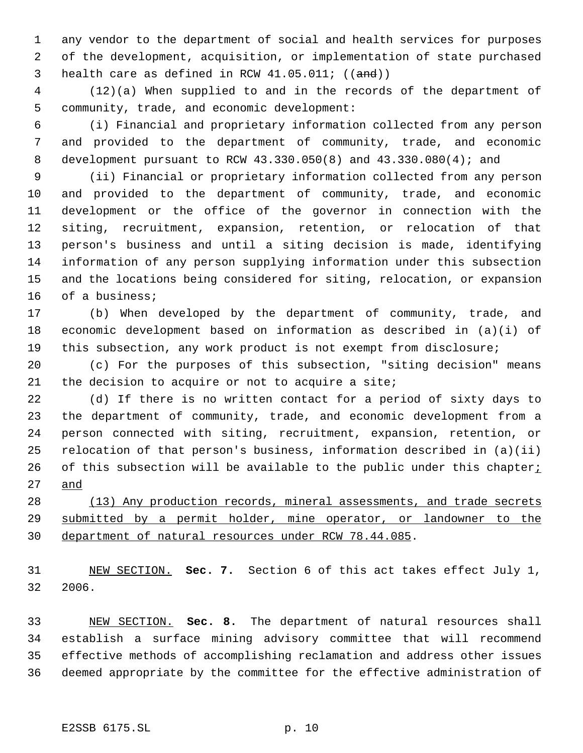any vendor to the department of social and health services for purposes of the development, acquisition, or implementation of state purchased 3 health care as defined in RCW  $41.05.011$ ;  $((and))$ 

 (12)(a) When supplied to and in the records of the department of community, trade, and economic development:

 (i) Financial and proprietary information collected from any person and provided to the department of community, trade, and economic development pursuant to RCW 43.330.050(8) and 43.330.080(4); and

 (ii) Financial or proprietary information collected from any person and provided to the department of community, trade, and economic development or the office of the governor in connection with the siting, recruitment, expansion, retention, or relocation of that person's business and until a siting decision is made, identifying information of any person supplying information under this subsection and the locations being considered for siting, relocation, or expansion of a business;

 (b) When developed by the department of community, trade, and economic development based on information as described in (a)(i) of this subsection, any work product is not exempt from disclosure;

 (c) For the purposes of this subsection, "siting decision" means the decision to acquire or not to acquire a site;

 (d) If there is no written contact for a period of sixty days to the department of community, trade, and economic development from a person connected with siting, recruitment, expansion, retention, or relocation of that person's business, information described in (a)(ii) 26 of this subsection will be available to the public under this chapter $i$ and

28 (13) Any production records, mineral assessments, and trade secrets 29 submitted by a permit holder, mine operator, or landowner to the department of natural resources under RCW 78.44.085.

 NEW SECTION. **Sec. 7.** Section 6 of this act takes effect July 1, 2006.

 NEW SECTION. **Sec. 8.** The department of natural resources shall establish a surface mining advisory committee that will recommend effective methods of accomplishing reclamation and address other issues deemed appropriate by the committee for the effective administration of